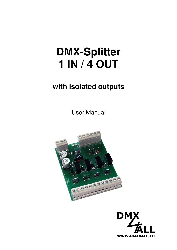# **DMX-Splitter 1 IN / 4 OUT**

## **with isolated outputs**

User Manual



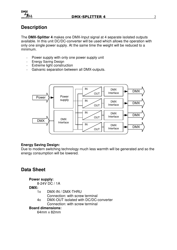

## **Description**

The **DMX-Splitter 4** makes one DMX-Input signal at 4 separate isolated outputs available. In this unit DC/DC-converter will be used which allows the operation with only one single power supply. At the same time the weight will be reduced to a minimum.

- Power supply with only one power supply unit
- Energy Saving Design
- Extreme light construction
- Galvanic separation between all DMX-outputs.



#### **Energy Saving Design:**

Due to modern switching technology much less warmth will be generated and so the energy consumption will be lowered.

## **Data Sheet**

#### **Power supply:**

8-24V DC / 1A

#### **DMX:**

- 1x DMX-IN / DMX-THRU
	- Connection: with screw terminal
- 4x DMX-OUT isolated with DC/DC-converter Connection: with screw terminal

#### **Board dimensions:**

64mm x 82mm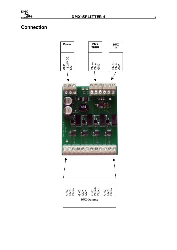## **Connection**

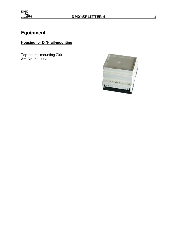

## **Equipment**

### **Housing for DIN-rail-mounting**

Top-hat rail mounting 700 Art.-Nr.: 50-0061

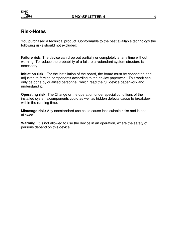

## **Risk-Notes**

You purchased a technical product. Conformable to the best available technology the following risks should not excluded:

**Failure risk:** The device can drop out partially or completely at any time without warning. To reduce the probability of a failure a redundant system structure is necessary.

**Initiation risk:** For the installation of the board, the board must be connected and adjusted to foreign components according to the device paperwork. This work can only be done by qualified personnel, which read the full device paperwork and understand it.

**Operating risk:** The Change or the operation under special conditions of the installed systems/components could as well as hidden defects cause to breakdown within the running time.

**Misusage risk:** Any nonstandard use could cause incalculable risks and is not allowed.

**Warning:** It is not allowed to use the device in an operation, where the safety of persons depend on this device.